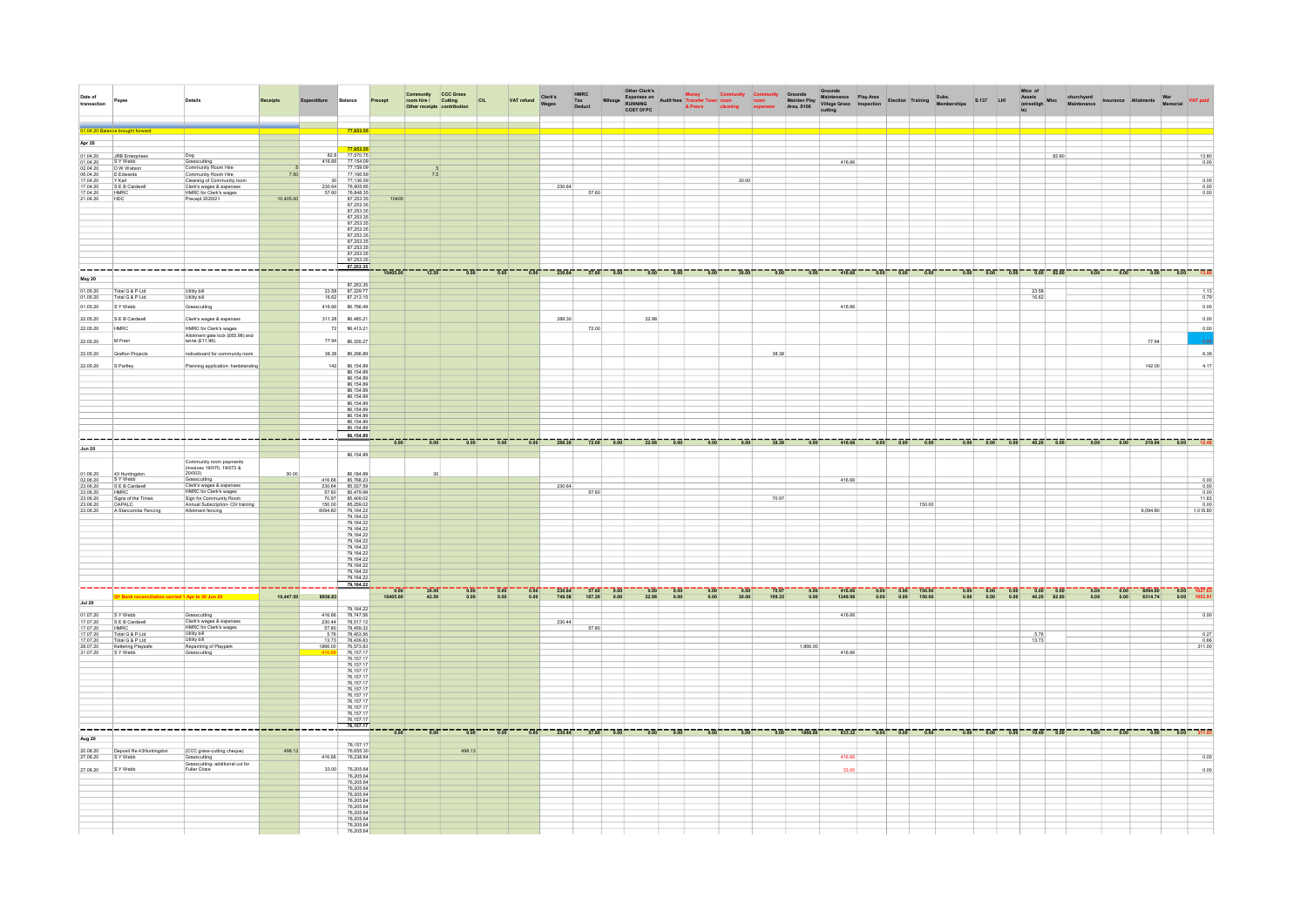| Date of<br>transaction                  | Payee                                                |                                                                    |           |                                                | Balance                                          |          |       | Community<br>room hire / Cutting<br>Other receipts contribution | CIL               | VAT refund                              | Clerk's<br>Wages | HMRC<br>Tax<br>Deduct                                     |      |       |                                   |         |       |         |          |         |                                                                           |      |                                                                                                                                    |                | Open Community Community Community Community Councide (Seconds Play Area<br>Rileage Explorate The Community Community Community Community Community Community Community Community Community<br>COSTOPC & Poors General Community Com |                                                                |                |                                                                   |                                      |
|-----------------------------------------|------------------------------------------------------|--------------------------------------------------------------------|-----------|------------------------------------------------|--------------------------------------------------|----------|-------|-----------------------------------------------------------------|-------------------|-----------------------------------------|------------------|-----------------------------------------------------------|------|-------|-----------------------------------|---------|-------|---------|----------|---------|---------------------------------------------------------------------------|------|------------------------------------------------------------------------------------------------------------------------------------|----------------|--------------------------------------------------------------------------------------------------------------------------------------------------------------------------------------------------------------------------------------|----------------------------------------------------------------|----------------|-------------------------------------------------------------------|--------------------------------------|
|                                         |                                                      |                                                                    |           |                                                |                                                  |          |       |                                                                 |                   |                                         |                  |                                                           |      |       |                                   |         |       |         |          |         |                                                                           |      |                                                                                                                                    |                |                                                                                                                                                                                                                                      |                                                                |                |                                                                   |                                      |
| 01.04.20 Ba                             | ce brought forward                                   |                                                                    |           |                                                | 77,653.55                                        |          |       |                                                                 |                   |                                         |                  |                                                           |      |       |                                   |         |       |         |          |         |                                                                           |      |                                                                                                                                    |                |                                                                                                                                                                                                                                      |                                                                |                |                                                                   |                                      |
| Apr 20                                  |                                                      |                                                                    |           |                                                | 77 653 58                                        |          |       |                                                                 |                   |                                         |                  |                                                           |      |       |                                   |         |       |         |          |         |                                                                           |      |                                                                                                                                    |                |                                                                                                                                                                                                                                      |                                                                |                |                                                                   |                                      |
| 01.04.20                                | JRB Enterprises<br>S Y Webb                          | Grasscutting                                                       |           | 82.8<br>416.66                                 | 77,570.75                                        |          |       |                                                                 |                   |                                         |                  |                                                           |      |       |                                   |         |       |         |          | 416.66  |                                                                           |      |                                                                                                                                    |                | 82.80                                                                                                                                                                                                                                |                                                                |                |                                                                   | 13.80<br>0.00                        |
| $\frac{01.04.20}{02.04.20}$             | D W Watson<br>E Edwards                              | Community Room Hire<br>Community Room Hire                         | 7.50      |                                                | 77,159.09                                        |          | 7.5   |                                                                 |                   |                                         |                  |                                                           |      |       |                                   |         |       |         |          |         |                                                                           |      |                                                                                                                                    |                |                                                                                                                                                                                                                                      |                                                                |                |                                                                   |                                      |
| 06.04.20                                | Y Karl                                               | Cleaning of Community roor                                         |           |                                                | 77,136.59                                        |          |       |                                                                 |                   |                                         |                  |                                                           |      |       |                                   |         | 30.00 |         |          |         |                                                                           |      |                                                                                                                                    |                |                                                                                                                                                                                                                                      |                                                                |                |                                                                   | 0.00                                 |
| 17.04.20<br>17.04.20                    | S E B Cardwell<br><b>HMRC</b>                        | Clerk's wages & expenses<br>HMRC for Clerk's wages                 |           | $\begin{array}{r} 230.64 \\ 57.60 \end{array}$ | 76,905.95<br>76,848.35                           |          |       |                                                                 |                   |                                         | 230.64           | 57.60                                                     |      |       |                                   |         |       |         |          |         |                                                                           |      |                                                                                                                                    |                |                                                                                                                                                                                                                                      |                                                                |                |                                                                   | 0.00<br>0.00                         |
| 21.04.20                                | HDC                                                  | Precept 2020/21                                                    | 10,405.00 |                                                | 87,253.35                                        | 10405    |       |                                                                 |                   |                                         |                  |                                                           |      |       |                                   |         |       |         |          |         |                                                                           |      |                                                                                                                                    |                |                                                                                                                                                                                                                                      |                                                                |                |                                                                   |                                      |
|                                         |                                                      |                                                                    |           |                                                | 87,253.35<br>87 253 35                           |          |       |                                                                 |                   |                                         |                  |                                                           |      |       |                                   |         |       |         |          |         |                                                                           |      |                                                                                                                                    |                |                                                                                                                                                                                                                                      |                                                                |                |                                                                   |                                      |
|                                         |                                                      |                                                                    |           |                                                | 87,253.35                                        |          |       |                                                                 |                   |                                         |                  |                                                           |      |       |                                   |         |       |         |          |         |                                                                           |      |                                                                                                                                    |                |                                                                                                                                                                                                                                      |                                                                |                |                                                                   |                                      |
|                                         |                                                      |                                                                    |           |                                                | 87,253.35                                        |          |       |                                                                 |                   |                                         |                  |                                                           |      |       |                                   |         |       |         |          |         |                                                                           |      |                                                                                                                                    |                |                                                                                                                                                                                                                                      |                                                                |                |                                                                   |                                      |
|                                         |                                                      |                                                                    |           |                                                | 87,253.35<br>87,253.35                           |          |       |                                                                 |                   |                                         |                  |                                                           |      |       |                                   |         |       |         |          |         |                                                                           |      |                                                                                                                                    |                |                                                                                                                                                                                                                                      |                                                                |                |                                                                   |                                      |
|                                         |                                                      |                                                                    |           |                                                | 87,253.35                                        |          |       |                                                                 |                   |                                         |                  |                                                           |      |       |                                   |         |       |         |          |         |                                                                           |      |                                                                                                                                    |                |                                                                                                                                                                                                                                      |                                                                |                |                                                                   |                                      |
|                                         |                                                      |                                                                    |           |                                                | 87 253 35<br>87,253.35                           |          |       |                                                                 |                   |                                         |                  |                                                           |      |       |                                   |         |       |         |          |         |                                                                           |      |                                                                                                                                    |                |                                                                                                                                                                                                                                      |                                                                |                |                                                                   |                                      |
|                                         | --------------                                       |                                                                    |           |                                                |                                                  | 10405.00 | 12.50 | $-0.00$                                                         | 0.00              | $-0.00$                                 |                  | $230.64$ $57.60$ $0.00$                                   |      |       | $0.00$ $0.00$                     | 0.00    |       |         | 0.00     | 416.66  | $0.00$ $0.00$ $0.00$                                                      |      |                                                                                                                                    |                |                                                                                                                                                                                                                                      |                                                                |                |                                                                   | $0.00$ 13.80                         |
| May 20                                  |                                                      |                                                                    |           |                                                | $\begin{array}{r} 87,253.3 \\ 23.58 \end{array}$ |          |       |                                                                 |                   |                                         |                  |                                                           |      |       |                                   |         |       |         |          |         |                                                                           |      |                                                                                                                                    |                |                                                                                                                                                                                                                                      |                                                                |                |                                                                   |                                      |
| 01.05.20<br>01.05.20                    | Total G & P Ltd<br>Total G & P Ltd                   | Utility bill<br>Utility bill                                       |           |                                                | 16.62 87,213.15                                  |          |       |                                                                 |                   |                                         |                  |                                                           |      |       |                                   |         |       |         |          |         |                                                                           |      |                                                                                                                                    | 23.58<br>16.62 |                                                                                                                                                                                                                                      |                                                                |                |                                                                   | 0.79                                 |
| 01.05.20                                | S Y Webb                                             | Grasscutting                                                       |           | 416.66                                         | 86,796.49                                        |          |       |                                                                 |                   |                                         |                  |                                                           |      |       |                                   |         |       |         |          | 416.66  |                                                                           |      |                                                                                                                                    |                |                                                                                                                                                                                                                                      |                                                                |                |                                                                   | 0.00                                 |
| 22.05.20                                | S E B Cardwell                                       | Clerk's wages & expenses                                           |           |                                                | 311.28 86,485.21                                 |          |       |                                                                 |                   |                                         | 288.30           |                                                           |      | 22.98 |                                   |         |       |         |          |         |                                                                           |      |                                                                                                                                    |                |                                                                                                                                                                                                                                      |                                                                |                |                                                                   | 0.00                                 |
| 22.05.20                                | <b>HMRC</b>                                          | HMRC for Clerk's wages                                             |           | 72                                             | 86,413.21                                        |          |       |                                                                 |                   |                                         |                  | 72.00                                                     |      |       |                                   |         |       |         |          |         |                                                                           |      |                                                                                                                                    |                |                                                                                                                                                                                                                                      |                                                                |                |                                                                   | 0.00                                 |
| 22.05.20                                | M Frain                                              | Allotment gate lock $(665.98)$ and<br>twine $(611.96)$             |           |                                                | 77.94 86,335.27                                  |          |       |                                                                 |                   |                                         |                  |                                                           |      |       |                                   |         |       |         |          |         |                                                                           |      |                                                                                                                                    |                |                                                                                                                                                                                                                                      |                                                                | 77.94          |                                                                   |                                      |
|                                         |                                                      |                                                                    |           |                                                |                                                  |          |       |                                                                 |                   |                                         |                  |                                                           |      |       |                                   |         |       |         |          |         |                                                                           |      |                                                                                                                                    |                |                                                                                                                                                                                                                                      |                                                                |                |                                                                   | 6.39                                 |
| 22.05.20                                | Grafton Projects                                     | noticeboard for community room                                     |           | 38.38                                          | 86,296.89                                        |          |       |                                                                 |                   |                                         |                  |                                                           |      |       |                                   |         |       | 38.38   |          |         |                                                                           |      |                                                                                                                                    |                |                                                                                                                                                                                                                                      |                                                                |                |                                                                   |                                      |
| 22.05.20                                | S Parfrey                                            | Planning application- hardstanding                                 |           | 142                                            | 86,154.89<br>86,154.89                           |          |       |                                                                 |                   |                                         |                  |                                                           |      |       |                                   |         |       |         |          |         |                                                                           |      |                                                                                                                                    |                |                                                                                                                                                                                                                                      |                                                                | 142.00         |                                                                   | 4.17                                 |
|                                         |                                                      |                                                                    |           |                                                | 86,154.89                                        |          |       |                                                                 |                   |                                         |                  |                                                           |      |       |                                   |         |       |         |          |         |                                                                           |      |                                                                                                                                    |                |                                                                                                                                                                                                                                      |                                                                |                |                                                                   |                                      |
|                                         |                                                      |                                                                    |           |                                                | 86,154.89<br>86,154.89                           |          |       |                                                                 |                   |                                         |                  |                                                           |      |       |                                   |         |       |         |          |         |                                                                           |      |                                                                                                                                    |                |                                                                                                                                                                                                                                      |                                                                |                |                                                                   |                                      |
|                                         |                                                      |                                                                    |           |                                                | 86,154.89                                        |          |       |                                                                 |                   |                                         |                  |                                                           |      |       |                                   |         |       |         |          |         |                                                                           |      |                                                                                                                                    |                |                                                                                                                                                                                                                                      |                                                                |                |                                                                   |                                      |
|                                         |                                                      |                                                                    |           |                                                | 86,154.89                                        |          |       |                                                                 |                   |                                         |                  |                                                           |      |       |                                   |         |       |         |          |         |                                                                           |      |                                                                                                                                    |                |                                                                                                                                                                                                                                      |                                                                |                |                                                                   |                                      |
|                                         |                                                      |                                                                    |           |                                                | 86,154.89                                        |          |       |                                                                 |                   |                                         |                  |                                                           |      |       |                                   |         |       |         |          |         |                                                                           |      |                                                                                                                                    |                |                                                                                                                                                                                                                                      |                                                                |                |                                                                   |                                      |
|                                         |                                                      |                                                                    |           |                                                |                                                  |          |       |                                                                 |                   |                                         |                  |                                                           |      |       |                                   |         |       |         |          |         |                                                                           |      |                                                                                                                                    |                |                                                                                                                                                                                                                                      |                                                                |                |                                                                   |                                      |
|                                         |                                                      | .--------------------- <mark>-----</mark>                          |           |                                                | 86,154.89                                        |          |       |                                                                 |                   |                                         |                  |                                                           |      |       |                                   |         |       |         |          |         |                                                                           |      |                                                                                                                                    |                |                                                                                                                                                                                                                                      |                                                                |                |                                                                   |                                      |
| <b>Jun 20</b>                           |                                                      |                                                                    |           |                                                | 86,154.89                                        |          |       |                                                                 |                   |                                         |                  |                                                           |      |       |                                   |         |       |         |          |         |                                                                           |      |                                                                                                                                    |                |                                                                                                                                                                                                                                      |                                                                |                |                                                                   |                                      |
|                                         |                                                      | Community room payments<br>(invoices 19/070, 19/073 &              |           |                                                |                                                  |          |       |                                                                 |                   |                                         |                  |                                                           |      |       |                                   |         |       |         |          |         |                                                                           |      |                                                                                                                                    |                |                                                                                                                                                                                                                                      |                                                                |                |                                                                   |                                      |
| $\frac{01.06.20}{02.06.20}$             |                                                      | 20/003)                                                            |           |                                                | 86,184.89<br>85,768.23                           |          |       |                                                                 |                   |                                         |                  |                                                           |      |       |                                   |         |       |         |          |         |                                                                           |      |                                                                                                                                    |                |                                                                                                                                                                                                                                      |                                                                |                |                                                                   | 0.00                                 |
| $\frac{23.06.20}{23.06.20}$             | 43 Huntingdon<br>S Y Webb<br>S E B Cardwell<br>Hunge | Grasscutting<br>Clerk's wages & expenses<br>HMRC for Clerk's wages |           | 416.66<br>$\frac{230.64}{57.60}$               | 85,537.59<br>85,479.99                           |          |       |                                                                 |                   |                                         | 230.64           |                                                           |      |       |                                   |         |       |         |          | 416.66  |                                                                           |      |                                                                                                                                    |                |                                                                                                                                                                                                                                      |                                                                |                |                                                                   | $\frac{0.00}{0.00}$                  |
|                                         |                                                      |                                                                    |           |                                                |                                                  |          |       |                                                                 |                   |                                         |                  | 57.60                                                     |      |       |                                   |         |       | 70.97   |          |         |                                                                           |      |                                                                                                                                    |                |                                                                                                                                                                                                                                      |                                                                |                |                                                                   |                                      |
| $\frac{23.06.20}{23.06.20}$<br>23.06.20 | Signs of the Times<br>CAPALC<br>A Stancombe Fencing  | Sign for Community Room<br>Annual Subscription- ClIr training      |           | 70.97<br>6094.80                               | 85,409.02<br>85,259.02                           |          |       |                                                                 |                   |                                         |                  |                                                           |      |       |                                   |         |       |         |          |         | 150.00                                                                    |      |                                                                                                                                    |                |                                                                                                                                                                                                                                      |                                                                | 6,094.80       |                                                                   | $\frac{11.83}{0.00}$<br>1,015.80     |
|                                         |                                                      | Allotment fencing                                                  |           |                                                | 79, 164.22<br>79, 164.22                         |          |       |                                                                 |                   |                                         |                  |                                                           |      |       |                                   |         |       |         |          |         |                                                                           |      |                                                                                                                                    |                |                                                                                                                                                                                                                                      |                                                                |                |                                                                   |                                      |
|                                         |                                                      |                                                                    |           |                                                | 79,164.22<br>79, 164.22                          |          |       |                                                                 |                   |                                         |                  |                                                           |      |       |                                   |         |       |         |          |         |                                                                           |      |                                                                                                                                    |                |                                                                                                                                                                                                                                      |                                                                |                |                                                                   |                                      |
|                                         |                                                      |                                                                    |           |                                                |                                                  |          |       |                                                                 |                   |                                         |                  |                                                           |      |       |                                   |         |       |         |          |         |                                                                           |      |                                                                                                                                    |                |                                                                                                                                                                                                                                      |                                                                |                |                                                                   |                                      |
|                                         |                                                      |                                                                    |           |                                                | 79, 164.22<br>79, 164.22                         |          |       |                                                                 |                   |                                         |                  |                                                           |      |       |                                   |         |       |         |          |         |                                                                           |      |                                                                                                                                    |                |                                                                                                                                                                                                                                      |                                                                |                |                                                                   |                                      |
|                                         |                                                      |                                                                    |           |                                                | 79, 164.22<br>79, 164.22                         |          |       |                                                                 |                   |                                         |                  |                                                           |      |       |                                   |         |       |         |          |         |                                                                           |      |                                                                                                                                    |                |                                                                                                                                                                                                                                      |                                                                |                |                                                                   |                                      |
|                                         |                                                      |                                                                    |           |                                                | 79,164.22<br>79, 164.22                          |          |       |                                                                 |                   |                                         |                  |                                                           |      |       |                                   |         |       |         |          |         |                                                                           |      |                                                                                                                                    |                |                                                                                                                                                                                                                                      |                                                                |                |                                                                   |                                      |
|                                         |                                                      |                                                                    |           |                                                | 79,164.22                                        |          |       |                                                                 |                   |                                         |                  |                                                           |      |       |                                   |         |       |         |          |         |                                                                           |      |                                                                                                                                    |                |                                                                                                                                                                                                                                      |                                                                |                |                                                                   |                                      |
|                                         |                                                      |                                                                    |           |                                                |                                                  | 0.00     | 30.00 | 0.00                                                            | $\overline{0.00}$ | $-0.00$                                 |                  | $\frac{1}{230.64}$ = $\frac{1}{57.60}$ = $\frac{1}{0.00}$ |      |       | $\frac{1}{0.00}$ $\frac{1}{0.00}$ | $-0.00$ | 0.00  | $70.97$ | $-0.00$  | 416.66  | $\overline{0.00}$ $\overline{0.00}$ $\overline{0.00}$ $\overline{150.00}$ |      | $\frac{1}{0.00}$ - $\frac{1}{0.00}$ - $\frac{1}{0.00}$ - $\frac{1}{0.00}$ - $\frac{1}{0.00}$ - $\frac{1}{0.00}$ - $\frac{1}{0.00}$ |                |                                                                                                                                                                                                                                      | $\frac{1}{0.00}$ = $\frac{1}{0.00}$ = $\frac{1}{0.00}$ 6094.80 |                |                                                                   | $\frac{1}{0.00}$ $\frac{1}{1027.63}$ |
| <b>Jul 20</b>                           |                                                      |                                                                    | 10,447.50 | 8936.83                                        |                                                  | 10405.00 | 42.50 | 0.00                                                            | 0.00              | 0.00                                    | 749.58           | 187.20                                                    | 0.00 | 22.98 | 0.00                              |         | 30.00 | 109.35  | 0.00     | 1249.98 | $0.00$ $0.00$ $150.00$                                                    |      | $0.00 \qquad 0.00 \qquad 0.00 \qquad 40.20 \qquad 82.80$                                                                           |                |                                                                                                                                                                                                                                      | 0.00                                                           | $0.00$ 6314.74 |                                                                   | $0.00$ 1053.91                       |
| 01.07.20                                | SYWebb<br>SEB Cardwel                                | Grasscutting                                                       |           | 416.66                                         | 79,164.22<br>78,747.56                           |          |       |                                                                 |                   |                                         |                  |                                                           |      |       |                                   |         |       |         |          | 416.66  |                                                                           |      |                                                                                                                                    |                |                                                                                                                                                                                                                                      |                                                                |                |                                                                   | 0.00                                 |
| 17.07.20                                |                                                      | Clerk's wages & expenses<br>HMRC for Clerk's wages                 |           | 230.44                                         | 78,517.12                                        |          |       |                                                                 |                   |                                         | 230.44           | 57.80                                                     |      |       |                                   |         |       |         |          |         |                                                                           |      |                                                                                                                                    |                |                                                                                                                                                                                                                                      |                                                                |                |                                                                   |                                      |
| 17.07.20                                | HMRC<br>Total G & P Ltd                              | Utility bill                                                       |           | $\frac{67.80}{6.76}$                           | 78,459.32                                        |          |       |                                                                 |                   |                                         |                  |                                                           |      |       |                                   |         |       |         |          |         |                                                                           |      |                                                                                                                                    | 5.76           |                                                                                                                                                                                                                                      |                                                                |                |                                                                   | 0.27                                 |
| 17.07.20<br>28.07.20                    | Total G & P Ltd<br>Kettering Playsa                  | Utility bill<br>Repainting of Playpark                             |           | 13.73<br>1866.00                               | 78,439.83<br>76,573.83                           |          |       |                                                                 |                   |                                         |                  |                                                           |      |       |                                   |         |       |         | 1,866.00 |         |                                                                           |      |                                                                                                                                    | 13.73          |                                                                                                                                                                                                                                      |                                                                |                |                                                                   | $\frac{0.66}{311.00}$                |
| 31.07.20                                | S Y Webb                                             | Grasscutting                                                       |           |                                                | 76,157.1                                         |          |       |                                                                 |                   |                                         |                  |                                                           |      |       |                                   |         |       |         |          | 416.66  |                                                                           |      |                                                                                                                                    |                |                                                                                                                                                                                                                                      |                                                                |                |                                                                   |                                      |
|                                         |                                                      |                                                                    |           |                                                |                                                  |          |       |                                                                 |                   |                                         |                  |                                                           |      |       |                                   |         |       |         |          |         |                                                                           |      |                                                                                                                                    |                |                                                                                                                                                                                                                                      |                                                                |                |                                                                   |                                      |
|                                         |                                                      |                                                                    |           |                                                | 76, 157.17<br>76, 157.17<br>76, 157.17           |          |       |                                                                 |                   |                                         |                  |                                                           |      |       |                                   |         |       |         |          |         |                                                                           |      |                                                                                                                                    |                |                                                                                                                                                                                                                                      |                                                                |                |                                                                   |                                      |
|                                         |                                                      |                                                                    |           |                                                | 76,157.1<br>76,157.1                             |          |       |                                                                 |                   |                                         |                  |                                                           |      |       |                                   |         |       |         |          |         |                                                                           |      |                                                                                                                                    |                |                                                                                                                                                                                                                                      |                                                                |                |                                                                   |                                      |
|                                         |                                                      |                                                                    |           |                                                | 76, 157.1                                        |          |       |                                                                 |                   |                                         |                  |                                                           |      |       |                                   |         |       |         |          |         |                                                                           |      |                                                                                                                                    |                |                                                                                                                                                                                                                                      |                                                                |                |                                                                   |                                      |
|                                         |                                                      |                                                                    |           |                                                | 76, 157.1                                        |          |       |                                                                 |                   |                                         |                  |                                                           |      |       |                                   |         |       |         |          |         |                                                                           |      |                                                                                                                                    |                |                                                                                                                                                                                                                                      |                                                                |                |                                                                   |                                      |
|                                         |                                                      |                                                                    |           |                                                | 76.157.1                                         |          |       |                                                                 |                   |                                         |                  |                                                           |      |       |                                   |         |       |         |          |         |                                                                           |      |                                                                                                                                    |                |                                                                                                                                                                                                                                      |                                                                |                |                                                                   |                                      |
|                                         | -----------------------------------                  |                                                                    |           | ----                                           | 76,157.17                                        |          |       | ——— <del>0.00 — — — 0.00 — — — 0.00 —</del>                     |                   | $\frac{1}{0.00}$ - - - $\frac{1}{0.00}$ |                  | $230.44$ $57.80$ $0.00$                                   |      | 0.00  | $\overline{0.00}$                 |         |       |         | 1866.00  | 833.32  | $\overline{0.00}$ $\overline{0.00}$ $\overline{0.00}$ $\overline{0.00}$   | 0.00 |                                                                                                                                    |                | $-0.00$ $-0.00$ $-19.49$ $-0.00$ $ -0.00$ $-0.00$ $-$                                                                                                                                                                                |                                                                |                | $  \frac{0.00}{0.00}$ $ \frac{0.00}{0.00}$ $ \frac{311.93}{0.00}$ |                                      |
| Aug 20                                  |                                                      |                                                                    |           |                                                |                                                  |          |       |                                                                 |                   |                                         |                  |                                                           |      |       |                                   |         |       |         |          |         |                                                                           |      |                                                                                                                                    |                |                                                                                                                                                                                                                                      |                                                                |                |                                                                   |                                      |
| 20.08.20                                |                                                      | (CCC grass-cutting cheque)                                         | 498.13    |                                                | 76,157.17<br>76,655.30                           |          |       | 498.13                                                          |                   |                                         |                  |                                                           |      |       |                                   |         |       |         |          |         |                                                                           |      |                                                                                                                                    |                |                                                                                                                                                                                                                                      |                                                                |                |                                                                   |                                      |
| 27.08.20                                | Deposit Re 43Huntingdon<br>SYWebb                    | Grasscutting                                                       |           | 416.66                                         | 76,238.64                                        |          |       |                                                                 |                   |                                         |                  |                                                           |      |       |                                   |         |       |         |          | 416.6   |                                                                           |      |                                                                                                                                    |                |                                                                                                                                                                                                                                      |                                                                |                |                                                                   | 0.00                                 |
| 27.08.20                                | S Y Webb                                             | Grasscutting-additional cut for<br>Fuller Close                    |           | 33.00                                          | 76,205.64                                        |          |       |                                                                 |                   |                                         |                  |                                                           |      |       |                                   |         |       |         |          | 33.00   |                                                                           |      |                                                                                                                                    |                |                                                                                                                                                                                                                                      |                                                                |                |                                                                   | 0.00                                 |
|                                         |                                                      |                                                                    |           |                                                | 76,205.64                                        |          |       |                                                                 |                   |                                         |                  |                                                           |      |       |                                   |         |       |         |          |         |                                                                           |      |                                                                                                                                    |                |                                                                                                                                                                                                                                      |                                                                |                |                                                                   |                                      |
|                                         |                                                      |                                                                    |           |                                                | 76,205.64<br>76,205.64                           |          |       |                                                                 |                   |                                         |                  |                                                           |      |       |                                   |         |       |         |          |         |                                                                           |      |                                                                                                                                    |                |                                                                                                                                                                                                                                      |                                                                |                |                                                                   |                                      |
|                                         |                                                      |                                                                    |           |                                                | 76,205.64                                        |          |       |                                                                 |                   |                                         |                  |                                                           |      |       |                                   |         |       |         |          |         |                                                                           |      |                                                                                                                                    |                |                                                                                                                                                                                                                                      |                                                                |                |                                                                   |                                      |
|                                         |                                                      |                                                                    |           |                                                | 76,205.64<br>76,205.64                           |          |       |                                                                 |                   |                                         |                  |                                                           |      |       |                                   |         |       |         |          |         |                                                                           |      |                                                                                                                                    |                |                                                                                                                                                                                                                                      |                                                                |                |                                                                   |                                      |
|                                         |                                                      |                                                                    |           |                                                | 76,205.64<br>76.205.64                           |          |       |                                                                 |                   |                                         |                  |                                                           |      |       |                                   |         |       |         |          |         |                                                                           |      |                                                                                                                                    |                |                                                                                                                                                                                                                                      |                                                                |                |                                                                   |                                      |
|                                         |                                                      |                                                                    |           |                                                | 76,205.64                                        |          |       |                                                                 |                   |                                         |                  |                                                           |      |       |                                   |         |       |         |          |         |                                                                           |      |                                                                                                                                    |                |                                                                                                                                                                                                                                      |                                                                |                |                                                                   |                                      |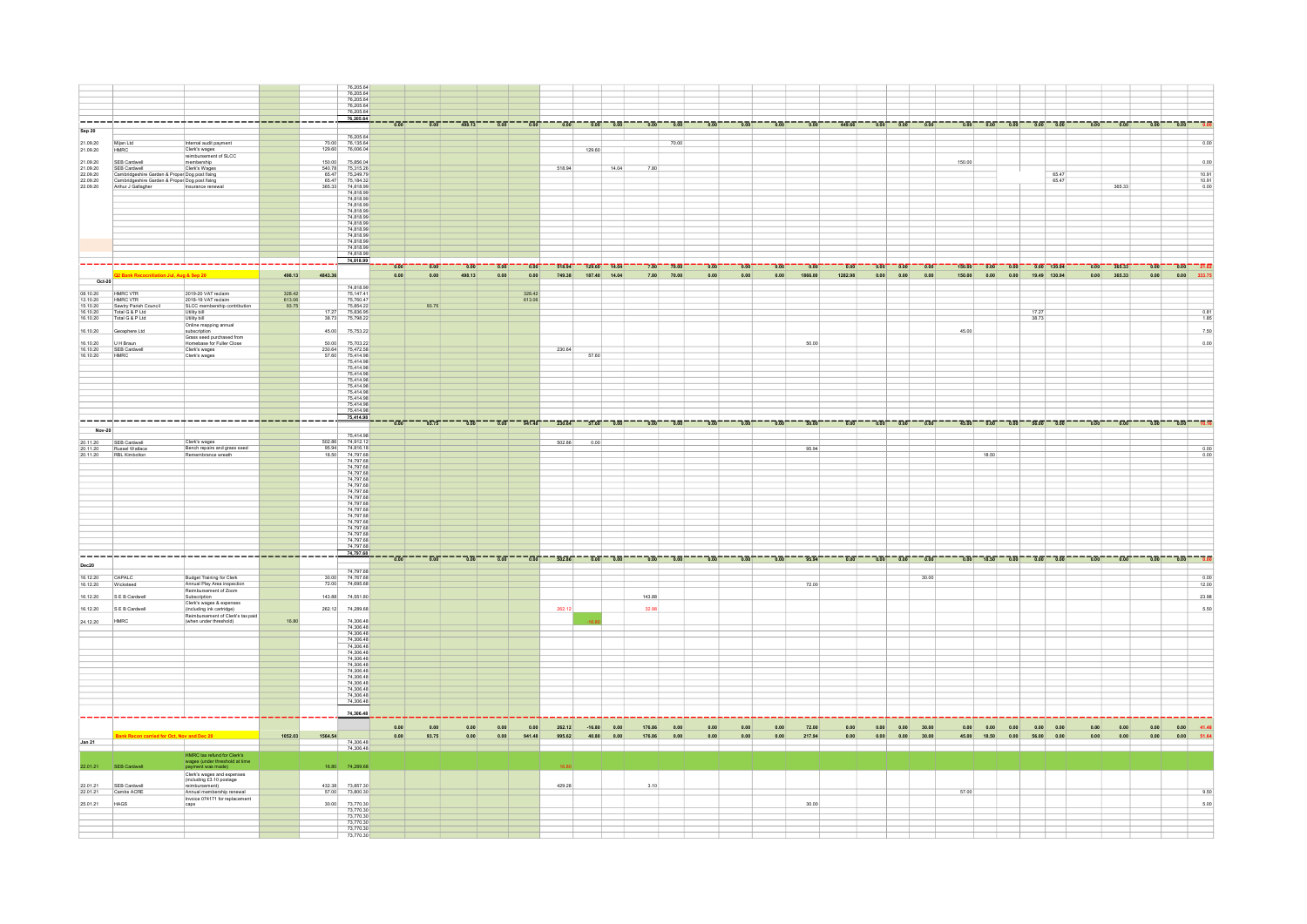|                             |                                                                                                                                            |                     |                                 | 76,205.64<br>76,205.64<br>76,205.64<br>76,205.64                                                                                                                                                                                                                                                                                                                                               |              |              |                    |                |                     |        |                                                  |               |                                                                                         |                  |              |              |                                              |                     |                   |               |                                                                   |        |             |                                                                                   |                  |                  |                         |                                                                                               |                      |
|-----------------------------|--------------------------------------------------------------------------------------------------------------------------------------------|---------------------|---------------------------------|------------------------------------------------------------------------------------------------------------------------------------------------------------------------------------------------------------------------------------------------------------------------------------------------------------------------------------------------------------------------------------------------|--------------|--------------|--------------------|----------------|---------------------|--------|--------------------------------------------------|---------------|-----------------------------------------------------------------------------------------|------------------|--------------|--------------|----------------------------------------------|---------------------|-------------------|---------------|-------------------------------------------------------------------|--------|-------------|-----------------------------------------------------------------------------------|------------------|------------------|-------------------------|-----------------------------------------------------------------------------------------------|----------------------|
|                             |                                                                                                                                            |                     |                                 | 76,205.64                                                                                                                                                                                                                                                                                                                                                                                      |              |              |                    |                |                     |        |                                                  |               |                                                                                         |                  |              |              |                                              |                     |                   |               |                                                                   |        |             |                                                                                   |                  |                  |                         |                                                                                               |                      |
|                             | ___________________________________                                                                                                        |                     | -----                           | 76,205.64                                                                                                                                                                                                                                                                                                                                                                                      |              |              |                    |                |                     |        |                                                  |               |                                                                                         |                  |              |              |                                              |                     |                   |               |                                                                   |        |             |                                                                                   |                  |                  |                         |                                                                                               |                      |
| <b>Sep 20</b>               |                                                                                                                                            |                     |                                 |                                                                                                                                                                                                                                                                                                                                                                                                |              |              |                    |                |                     |        |                                                  |               |                                                                                         |                  |              |              |                                              |                     |                   |               |                                                                   |        |             |                                                                                   |                  |                  |                         |                                                                                               |                      |
| 21.09.20                    | Miian Ltd<br>Internal audit payment                                                                                                        |                     | 70.00                           | 76,205.64                                                                                                                                                                                                                                                                                                                                                                                      |              |              |                    |                |                     |        |                                                  |               |                                                                                         | 70.00            |              |              |                                              |                     |                   |               |                                                                   |        |             |                                                                                   |                  |                  |                         |                                                                                               | 0.00                 |
| 21.09.20                    | Clerk's wages<br><b>HMRC</b>                                                                                                               |                     |                                 | $\begin{array}{r} 70.00 \qquad \quad 76,135.64 \\ 129.60 \qquad \quad 76,006.04 \end{array}$                                                                                                                                                                                                                                                                                                   |              |              |                    |                |                     |        | 129.60                                           |               |                                                                                         |                  |              |              |                                              |                     |                   |               |                                                                   |        |             |                                                                                   |                  |                  |                         |                                                                                               |                      |
| 21.09.20                    | reimbursement of SLCC<br>SEB Cardwell<br>embership                                                                                         |                     | 150.00                          | 75,856.04<br>75,315.26                                                                                                                                                                                                                                                                                                                                                                         |              |              |                    |                |                     |        |                                                  |               |                                                                                         |                  |              |              |                                              |                     |                   |               |                                                                   | 150.00 |             |                                                                                   |                  |                  |                         |                                                                                               | 0.00                 |
| 21.09.20<br>22.09.20        | Clerk's Wages<br>SEB Cardwell                                                                                                              |                     |                                 |                                                                                                                                                                                                                                                                                                                                                                                                |              |              |                    |                |                     | 518.94 |                                                  | 14.04         | 7.80                                                                                    |                  |              |              |                                              |                     |                   |               |                                                                   |        |             |                                                                                   | $65.47$<br>65.47 |                  |                         |                                                                                               | 10.91                |
| 22.09.20                    | Cambridgeshire Garden & Proper Dog post fixing<br>Cambridgeshire Garden & Proper Dog post fixing<br>Arthur J Gallagher<br>Insurance renewa |                     | $\frac{65.47}{65.47}$<br>365.33 | 75,249.79<br>75,184.32<br>74,818.99                                                                                                                                                                                                                                                                                                                                                            |              |              |                    |                |                     |        |                                                  |               |                                                                                         |                  |              |              |                                              |                     |                   |               |                                                                   |        |             |                                                                                   |                  |                  | 365.33                  |                                                                                               | $\frac{10.91}{0.00}$ |
|                             |                                                                                                                                            |                     |                                 | 74,818.99                                                                                                                                                                                                                                                                                                                                                                                      |              |              |                    |                |                     |        |                                                  |               |                                                                                         |                  |              |              |                                              |                     |                   |               |                                                                   |        |             |                                                                                   |                  |                  |                         |                                                                                               |                      |
|                             |                                                                                                                                            |                     |                                 | 74,818.99                                                                                                                                                                                                                                                                                                                                                                                      |              |              |                    |                |                     |        |                                                  |               |                                                                                         |                  |              |              |                                              |                     |                   |               |                                                                   |        |             |                                                                                   |                  |                  |                         |                                                                                               |                      |
|                             |                                                                                                                                            |                     |                                 | 74,818.99<br>74,818.99                                                                                                                                                                                                                                                                                                                                                                         |              |              |                    |                |                     |        |                                                  |               |                                                                                         |                  |              |              |                                              |                     |                   |               |                                                                   |        |             |                                                                                   |                  |                  |                         |                                                                                               |                      |
|                             |                                                                                                                                            |                     |                                 |                                                                                                                                                                                                                                                                                                                                                                                                |              |              |                    |                |                     |        |                                                  |               |                                                                                         |                  |              |              |                                              |                     |                   |               |                                                                   |        |             |                                                                                   |                  |                  |                         |                                                                                               |                      |
|                             |                                                                                                                                            |                     |                                 | 74,818.99<br>74,818.99<br>74,818.99                                                                                                                                                                                                                                                                                                                                                            |              |              |                    |                |                     |        |                                                  |               |                                                                                         |                  |              |              |                                              |                     |                   |               |                                                                   |        |             |                                                                                   |                  |                  |                         |                                                                                               |                      |
|                             |                                                                                                                                            |                     |                                 | 74,818.99<br>74.818.99                                                                                                                                                                                                                                                                                                                                                                         |              |              |                    |                |                     |        |                                                  |               |                                                                                         |                  |              |              |                                              |                     |                   |               |                                                                   |        |             |                                                                                   |                  |                  |                         |                                                                                               |                      |
|                             |                                                                                                                                            |                     |                                 | 74,818.99                                                                                                                                                                                                                                                                                                                                                                                      |              |              |                    |                |                     |        |                                                  |               |                                                                                         |                  |              |              |                                              |                     |                   |               |                                                                   |        |             |                                                                                   |                  |                  |                         |                                                                                               |                      |
|                             | Jul. Aug & Sep 20                                                                                                                          | 498.13              | 4843.36                         |                                                                                                                                                                                                                                                                                                                                                                                                | 0.00<br>0.00 | 0.00<br>0.00 | $- 0.00$<br>498.13 | 0.00<br>0.00   | 0.00<br>0.00        |        | $518.94$ $129.60$ $14.04$<br>749.38 187.40 14.04 |               | $-7.80$ $70.00$<br>7.80                                                                 | 70.00            | 0.00<br>0.00 | 0.00<br>0.00 | 0.00<br>$\overline{0.00}$<br>0.00<br>1866.00 | $- 0.00$<br>1282.98 |                   | $0.00$ $0.00$ | $ \frac{1}{0.00}$ $ \frac{1}{0.00}$ $ \frac{1}{0.00}$ $-$<br>0.00 |        |             | $-$ 150.00 $-$ 0.00 $-$ 0.00 $-$ 0.00 $-$ 130.94<br>150.00 0.00 0.00 19.49 130.94 |                  | 0.00             | $0.00$ 365.33<br>365.33 | $\frac{1}{0.00}$ $\frac{1}{0.00}$ $\frac{1}{0.00}$ $\frac{1}{0.01}$ $\frac{1}{21.82}$<br>0.00 | 0.00 333.75          |
| $Oct-20$                    |                                                                                                                                            |                     |                                 |                                                                                                                                                                                                                                                                                                                                                                                                |              |              |                    |                |                     |        |                                                  |               |                                                                                         |                  |              |              |                                              |                     |                   |               |                                                                   |        |             |                                                                                   |                  |                  |                         |                                                                                               |                      |
| $\frac{08.10.20}{13.10.20}$ | 2019-20 VAT reclaim<br>HMRC VTR<br>HMRC VTR<br>2018-19 VAT reclaim                                                                         | 328.42              |                                 | 74,818.99<br>75,147.41                                                                                                                                                                                                                                                                                                                                                                         |              |              |                    |                | 328.42<br>613.06    |        |                                                  |               |                                                                                         |                  |              |              |                                              |                     |                   |               |                                                                   |        |             |                                                                                   |                  |                  |                         |                                                                                               |                      |
| 15.10.20<br>16.10.20        | SLCC membership contribution<br>Sawtry Parish Counci<br>Total G & P Ltd                                                                    | $613.06$<br>$93.75$ | 17 27                           | 75,760.47                                                                                                                                                                                                                                                                                                                                                                                      |              | 93.75        |                    |                |                     |        |                                                  |               |                                                                                         |                  |              |              |                                              |                     |                   |               |                                                                   |        |             | 17.27                                                                             |                  |                  |                         |                                                                                               | 0.81                 |
| 16.10.20                    | Utility bill<br>Total G & P Ltd<br>Utility bill                                                                                            |                     |                                 | 75,836.95<br>38.73 75,798.22                                                                                                                                                                                                                                                                                                                                                                   |              |              |                    |                |                     |        |                                                  |               |                                                                                         |                  |              |              |                                              |                     |                   |               |                                                                   |        |             | 38.73                                                                             |                  |                  |                         |                                                                                               | 1.85                 |
| 16.10.20                    | Online mapping annual<br>Geoxphere Ltd<br>subscription                                                                                     |                     |                                 | 45.00 75,753.22                                                                                                                                                                                                                                                                                                                                                                                |              |              |                    |                |                     |        |                                                  |               |                                                                                         |                  |              |              |                                              |                     |                   |               |                                                                   | 45.00  |             |                                                                                   |                  |                  |                         |                                                                                               | 7.50                 |
|                             | Grass seed purchased from<br>Homebase for Fuller Close                                                                                     |                     |                                 | 50.00 75,703.22                                                                                                                                                                                                                                                                                                                                                                                |              |              |                    |                |                     |        |                                                  |               |                                                                                         |                  |              |              | 50.00                                        |                     |                   |               |                                                                   |        |             |                                                                                   |                  |                  |                         |                                                                                               | 0.00                 |
| $\frac{16.10.20}{16.10.20}$ | $\begin{array}{c c} \text{U H Braun} \\ \hline \text{SEB Cardwell} \end{array}$<br>Clerk's wages                                           |                     |                                 |                                                                                                                                                                                                                                                                                                                                                                                                |              |              |                    |                |                     | 230.64 | 57.60                                            |               |                                                                                         |                  |              |              |                                              |                     |                   |               |                                                                   |        |             |                                                                                   |                  |                  |                         |                                                                                               |                      |
| 16.10.20                    | HMRC<br>Clerk's wages                                                                                                                      |                     |                                 |                                                                                                                                                                                                                                                                                                                                                                                                |              |              |                    |                |                     |        |                                                  |               |                                                                                         |                  |              |              |                                              |                     |                   |               |                                                                   |        |             |                                                                                   |                  |                  |                         |                                                                                               |                      |
|                             |                                                                                                                                            |                     |                                 | 75,414.98                                                                                                                                                                                                                                                                                                                                                                                      |              |              |                    |                |                     |        |                                                  |               |                                                                                         |                  |              |              |                                              |                     |                   |               |                                                                   |        |             |                                                                                   |                  |                  |                         |                                                                                               |                      |
|                             |                                                                                                                                            |                     |                                 | 75,414.98                                                                                                                                                                                                                                                                                                                                                                                      |              |              |                    |                |                     |        |                                                  |               |                                                                                         |                  |              |              |                                              |                     |                   |               |                                                                   |        |             |                                                                                   |                  |                  |                         |                                                                                               |                      |
|                             |                                                                                                                                            |                     |                                 | 75,414.98                                                                                                                                                                                                                                                                                                                                                                                      |              |              |                    |                |                     |        |                                                  |               |                                                                                         |                  |              |              |                                              |                     |                   |               |                                                                   |        |             |                                                                                   |                  |                  |                         |                                                                                               |                      |
|                             |                                                                                                                                            |                     |                                 | 75,414.98<br>75.414.98                                                                                                                                                                                                                                                                                                                                                                         |              |              |                    |                |                     |        |                                                  |               |                                                                                         |                  |              |              |                                              |                     |                   |               |                                                                   |        |             |                                                                                   |                  |                  |                         |                                                                                               |                      |
|                             | ---------------<br>-----------                                                                                                             | .                   |                                 | 75,414.98                                                                                                                                                                                                                                                                                                                                                                                      |              |              |                    |                |                     |        |                                                  |               |                                                                                         |                  |              |              |                                              |                     |                   |               |                                                                   |        |             |                                                                                   |                  |                  |                         |                                                                                               |                      |
| Nov-20                      |                                                                                                                                            |                     |                                 |                                                                                                                                                                                                                                                                                                                                                                                                | $-0.00$      |              |                    | $\overline{0}$ | $-\frac{1}{941.48}$ |        |                                                  |               | $\frac{1}{230.64}$ $\frac{1}{57.60}$ $\frac{1}{0.00}$ $\frac{1}{0.00}$ $\frac{1}{0.00}$ | $-5\overline{0}$ |              |              | 50.00<br>ுங்                                 |                     | $\overline{0.00}$ |               |                                                                   |        |             | $0.001 - 0.001 - 0.001 - 45.001 - 0.001 - 60.001 - 66.001 - 0.001$                |                  | $n \overline{a}$ |                         |                                                                                               | _‴                   |
| 20.11.20                    | SEB Cardwell<br>Clerk's wages                                                                                                              |                     | 502.86                          | 75,414.98<br>74,912.12                                                                                                                                                                                                                                                                                                                                                                         |              |              |                    |                |                     | 502.86 | 0.00                                             |               |                                                                                         |                  |              |              |                                              |                     |                   |               |                                                                   |        |             |                                                                                   |                  |                  |                         |                                                                                               |                      |
| 20.11.20<br>20.11.20        | Russel Wallace<br>Bench repairs and grass seed<br>RBL Kimbolton<br>Remembrance wreath                                                      |                     |                                 | 95.94 74,816.18<br>18.50 74,797.68<br>74,797.68<br>74,797.68                                                                                                                                                                                                                                                                                                                                   |              |              |                    |                |                     |        |                                                  |               |                                                                                         |                  |              |              | 95.94                                        |                     |                   |               |                                                                   |        | 18.50       |                                                                                   |                  |                  |                         |                                                                                               | 0.00<br>0.00         |
|                             |                                                                                                                                            |                     |                                 |                                                                                                                                                                                                                                                                                                                                                                                                |              |              |                    |                |                     |        |                                                  |               |                                                                                         |                  |              |              |                                              |                     |                   |               |                                                                   |        |             |                                                                                   |                  |                  |                         |                                                                                               |                      |
|                             |                                                                                                                                            |                     |                                 | 74,797.68                                                                                                                                                                                                                                                                                                                                                                                      |              |              |                    |                |                     |        |                                                  |               |                                                                                         |                  |              |              |                                              |                     |                   |               |                                                                   |        |             |                                                                                   |                  |                  |                         |                                                                                               |                      |
|                             |                                                                                                                                            |                     |                                 | 74,797.68<br>74,797.68                                                                                                                                                                                                                                                                                                                                                                         |              |              |                    |                |                     |        |                                                  |               |                                                                                         |                  |              |              |                                              |                     |                   |               |                                                                   |        |             |                                                                                   |                  |                  |                         |                                                                                               |                      |
|                             |                                                                                                                                            |                     |                                 | 74,797.68                                                                                                                                                                                                                                                                                                                                                                                      |              |              |                    |                |                     |        |                                                  |               |                                                                                         |                  |              |              |                                              |                     |                   |               |                                                                   |        |             |                                                                                   |                  |                  |                         |                                                                                               |                      |
|                             |                                                                                                                                            |                     |                                 | 74,797.68<br>74,797.68                                                                                                                                                                                                                                                                                                                                                                         |              |              |                    |                |                     |        |                                                  |               |                                                                                         |                  |              |              |                                              |                     |                   |               |                                                                   |        |             |                                                                                   |                  |                  |                         |                                                                                               |                      |
|                             |                                                                                                                                            |                     |                                 |                                                                                                                                                                                                                                                                                                                                                                                                |              |              |                    |                |                     |        |                                                  |               |                                                                                         |                  |              |              |                                              |                     |                   |               |                                                                   |        |             |                                                                                   |                  |                  |                         |                                                                                               |                      |
|                             |                                                                                                                                            |                     |                                 | 74,797.68<br>74,797.68                                                                                                                                                                                                                                                                                                                                                                         |              |              |                    |                |                     |        |                                                  |               |                                                                                         |                  |              |              |                                              |                     |                   |               |                                                                   |        |             |                                                                                   |                  |                  |                         |                                                                                               |                      |
|                             |                                                                                                                                            |                     |                                 | 74,797.68<br>74,797.68                                                                                                                                                                                                                                                                                                                                                                         |              |              |                    |                |                     |        |                                                  |               |                                                                                         |                  |              |              |                                              |                     |                   |               |                                                                   |        |             |                                                                                   |                  |                  |                         |                                                                                               |                      |
|                             | --------------------------- <mark>-----</mark>                                                                                             |                     |                                 | 74,797.68                                                                                                                                                                                                                                                                                                                                                                                      |              |              |                    |                |                     |        |                                                  |               |                                                                                         |                  |              |              |                                              |                     |                   |               |                                                                   |        |             |                                                                                   |                  |                  |                         |                                                                                               |                      |
| Dec20                       |                                                                                                                                            |                     |                                 |                                                                                                                                                                                                                                                                                                                                                                                                |              |              |                    |                |                     |        |                                                  |               |                                                                                         |                  |              |              |                                              |                     |                   |               |                                                                   |        |             |                                                                                   |                  |                  |                         | $ \frac{0.00}{0.00}$ $ \frac{0.00}{0.00}$ $ \frac{0.00}{0.00}$                                |                      |
| 16.12.20                    | CAPALC<br>Budget Training for Clerk<br>Annual Play Area inspection                                                                         |                     |                                 | 74,797.68<br>$\begin{array}{r@{\hspace{0.1cm}}c@{\hspace{0.1cm}}c@{\hspace{0.1cm}}c@{\hspace{0.1cm}}c@{\hspace{0.1cm}}c@{\hspace{0.1cm}}c@{\hspace{0.1cm}}c@{\hspace{0.1cm}}c@{\hspace{0.1cm}}c@{\hspace{0.1cm}}c@{\hspace{0.1cm}}c@{\hspace{0.1cm}}c@{\hspace{0.1cm}}c@{\hspace{0.1cm}}c@{\hspace{0.1cm}}c@{\hspace{0.1cm}}c@{\hspace{0.1cm}}c@{\hspace{0.1cm}}c@{\hspace{0.1cm}}c@{\hspace{$ |              |              |                    |                |                     |        |                                                  |               |                                                                                         |                  |              |              |                                              |                     |                   |               | 30.00                                                             |        |             |                                                                                   |                  |                  |                         |                                                                                               | 0.00                 |
| 16.12.20                    | Wicksteed<br>Reimbursement of Zoom<br>Subscription                                                                                         |                     |                                 |                                                                                                                                                                                                                                                                                                                                                                                                |              |              |                    |                |                     |        |                                                  |               |                                                                                         |                  |              |              | 72.00                                        |                     |                   |               |                                                                   |        |             |                                                                                   |                  |                  |                         |                                                                                               | 12.00                |
| 16.12.20                    | S E B Cardwell                                                                                                                             |                     |                                 | 143.88 74,551.80                                                                                                                                                                                                                                                                                                                                                                               |              |              |                    |                |                     |        |                                                  |               | 143.88                                                                                  |                  |              |              |                                              |                     |                   |               |                                                                   |        |             |                                                                                   |                  |                  |                         |                                                                                               | 23.98                |
| 16.12.20                    | Clerk's wages & expenses<br>(including ink cartridge)<br>S E B Cardwell                                                                    |                     |                                 | 262.12 74,289.68                                                                                                                                                                                                                                                                                                                                                                               |              |              |                    |                |                     | 262.1  |                                                  |               |                                                                                         |                  |              |              |                                              |                     |                   |               |                                                                   |        |             |                                                                                   |                  |                  |                         |                                                                                               | 5.50                 |
| 24.12.20                    | Reimbursement of Clerk's tax paid<br>(when under threshold)<br>HMRC                                                                        | 16.80               |                                 | 74,306.48<br>74,306.48                                                                                                                                                                                                                                                                                                                                                                         |              |              |                    |                |                     |        |                                                  |               |                                                                                         |                  |              |              |                                              |                     |                   |               |                                                                   |        |             |                                                                                   |                  |                  |                         |                                                                                               |                      |
|                             |                                                                                                                                            |                     |                                 | 74,306.48<br>74,306.48                                                                                                                                                                                                                                                                                                                                                                         |              |              |                    |                |                     |        |                                                  |               |                                                                                         |                  |              |              |                                              |                     |                   |               |                                                                   |        |             |                                                                                   |                  |                  |                         |                                                                                               |                      |
|                             |                                                                                                                                            |                     |                                 | 74.306.48                                                                                                                                                                                                                                                                                                                                                                                      |              |              |                    |                |                     |        |                                                  |               |                                                                                         |                  |              |              |                                              |                     |                   |               |                                                                   |        |             |                                                                                   |                  |                  |                         |                                                                                               |                      |
|                             |                                                                                                                                            |                     |                                 | 74 306 48<br>74,306.48                                                                                                                                                                                                                                                                                                                                                                         |              |              |                    |                |                     |        |                                                  |               |                                                                                         |                  |              |              |                                              |                     |                   |               |                                                                   |        |             |                                                                                   |                  |                  |                         |                                                                                               |                      |
|                             |                                                                                                                                            |                     |                                 | 74,306.48                                                                                                                                                                                                                                                                                                                                                                                      |              |              |                    |                |                     |        |                                                  |               |                                                                                         |                  |              |              |                                              |                     |                   |               |                                                                   |        |             |                                                                                   |                  |                  |                         |                                                                                               |                      |
|                             |                                                                                                                                            |                     |                                 | 74,306.48<br>74,306.48                                                                                                                                                                                                                                                                                                                                                                         |              |              |                    |                |                     |        |                                                  |               |                                                                                         |                  |              |              |                                              |                     |                   |               |                                                                   |        |             |                                                                                   |                  |                  |                         |                                                                                               |                      |
|                             |                                                                                                                                            |                     |                                 | 74,306.48                                                                                                                                                                                                                                                                                                                                                                                      |              |              |                    |                |                     |        |                                                  |               |                                                                                         |                  |              |              |                                              |                     |                   |               |                                                                   |        |             |                                                                                   |                  |                  |                         |                                                                                               |                      |
|                             |                                                                                                                                            |                     |                                 | 74,306.48                                                                                                                                                                                                                                                                                                                                                                                      |              |              |                    |                |                     |        |                                                  |               |                                                                                         |                  |              |              |                                              |                     |                   |               |                                                                   |        |             |                                                                                   |                  |                  |                         |                                                                                               |                      |
|                             |                                                                                                                                            |                     |                                 | 74,306.48                                                                                                                                                                                                                                                                                                                                                                                      |              |              |                    |                |                     |        |                                                  |               |                                                                                         |                  |              |              |                                              |                     |                   |               |                                                                   |        |             |                                                                                   |                  |                  |                         |                                                                                               |                      |
|                             |                                                                                                                                            |                     |                                 |                                                                                                                                                                                                                                                                                                                                                                                                | 0.00         | 0.00         | 0.00               | 0.00           | 0.00                | 262.12 |                                                  | $-16.80$ 0.00 | 176.86                                                                                  | 0.00             | 0.00         | 0.00         | 72.00<br>0.00                                |                     | 0.00<br>0.00      |               | $0.00$ 30.00                                                      |        | 0.00 0.00   | 0.00                                                                              | 0.00 0.00        | 0.00             | 0.00                    | 0.00                                                                                          | 0.00                 |
|                             | Ink Recon carried for Oct, Nov and Dec 20                                                                                                  | 1052.03             | 1564.54                         |                                                                                                                                                                                                                                                                                                                                                                                                | 0.00         | 93.75        | 0.00               | 0.00           | 941.48              | 995.62 | 40.80                                            | 0.00          | 176.86                                                                                  | 0.00             | 0.00         | 0.00         | 0.00<br>217.94                               |                     | 0.00<br>0.00      | 0.00          | 30.00                                                             |        | 45.00 18.50 | 0.00<br>56.00                                                                     | 0.00             | 0.00             | 0.00                    | 0.00                                                                                          | 0.00                 |
| <b>Jan 21</b>               |                                                                                                                                            |                     |                                 | 74,306.48<br>74,306.48                                                                                                                                                                                                                                                                                                                                                                         |              |              |                    |                |                     |        |                                                  |               |                                                                                         |                  |              |              |                                              |                     |                   |               |                                                                   |        |             |                                                                                   |                  |                  |                         |                                                                                               |                      |
|                             | <b>HMRC</b> tax refund for Clerk's<br>wages (under threshold at time<br>payment was made)                                                  |                     |                                 |                                                                                                                                                                                                                                                                                                                                                                                                |              |              |                    |                |                     |        |                                                  |               |                                                                                         |                  |              |              |                                              |                     |                   |               |                                                                   |        |             |                                                                                   |                  |                  |                         |                                                                                               |                      |
| 22.01.21                    | SEB Cardwell<br>Clerk's wages and expenses<br>(including £3.10 postage                                                                     |                     |                                 | 16.80 74,289.68                                                                                                                                                                                                                                                                                                                                                                                |              |              |                    |                |                     |        |                                                  |               |                                                                                         |                  |              |              |                                              |                     |                   |               |                                                                   |        |             |                                                                                   |                  |                  |                         |                                                                                               |                      |
| 22.01.21                    | SEB Cardwel<br>reimbursement)                                                                                                              |                     | 432.38                          | 73,857.30                                                                                                                                                                                                                                                                                                                                                                                      |              |              |                    |                |                     | 429.28 |                                                  |               | 3.10                                                                                    |                  |              |              |                                              |                     |                   |               |                                                                   |        |             |                                                                                   |                  |                  |                         |                                                                                               |                      |
|                             | 22.01.21 Cambs ACRE<br>Annual membership renewal<br>Invoice 074171 for replacement                                                         |                     |                                 | 57.00 73,800.30                                                                                                                                                                                                                                                                                                                                                                                |              |              |                    |                |                     |        |                                                  |               |                                                                                         |                  |              |              |                                              |                     |                   |               |                                                                   | 57.00  |             |                                                                                   |                  |                  |                         |                                                                                               | 9.50                 |
| 25.01.21                    | <b>HAGS</b>                                                                                                                                |                     | 30.00                           | 73,770.30                                                                                                                                                                                                                                                                                                                                                                                      |              |              |                    |                |                     |        |                                                  |               |                                                                                         |                  |              |              | 30.00                                        |                     |                   |               |                                                                   |        |             |                                                                                   |                  |                  |                         |                                                                                               | 5.00                 |
|                             |                                                                                                                                            |                     |                                 | 73,770.30<br>73,770.30                                                                                                                                                                                                                                                                                                                                                                         |              |              |                    |                |                     |        |                                                  |               |                                                                                         |                  |              |              |                                              |                     |                   |               |                                                                   |        |             |                                                                                   |                  |                  |                         |                                                                                               |                      |
|                             |                                                                                                                                            |                     |                                 | 73,770.30<br>73,770.30                                                                                                                                                                                                                                                                                                                                                                         |              |              |                    |                |                     |        |                                                  |               |                                                                                         |                  |              |              |                                              |                     |                   |               |                                                                   |        |             |                                                                                   |                  |                  |                         |                                                                                               |                      |
|                             |                                                                                                                                            |                     |                                 | 73,770.30                                                                                                                                                                                                                                                                                                                                                                                      |              |              |                    |                |                     |        |                                                  |               |                                                                                         |                  |              |              |                                              |                     |                   |               |                                                                   |        |             |                                                                                   |                  |                  |                         |                                                                                               |                      |